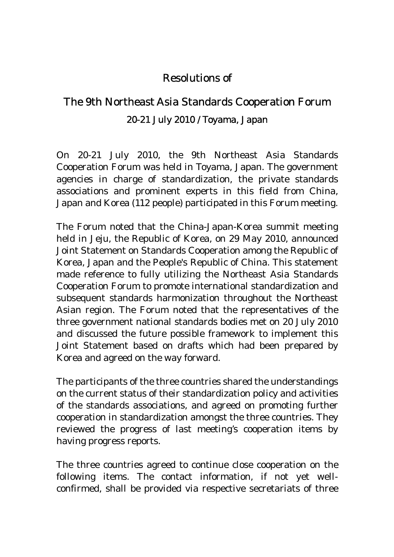## Resolutions of

## The 9th Northeast Asia Standards Cooperation Forum 20-21 July 2010 / Toyama, Japan

On 20-21 July 2010, the 9th Northeast Asia Standards Cooperation Forum was held in Toyama, Japan. The government agencies in charge of standardization, the private standards associations and prominent experts in this field from China, Japan and Korea (112 people) participated in this Forum meeting.

The Forum noted that the China-Japan-Korea summit meeting held in Jeju, the Republic of Korea, on 29 May 2010, announced Joint Statement on Standards Cooperation among the Republic of Korea, Japan and the People's Republic of China. This statement made reference to fully utilizing the Northeast Asia Standards Cooperation Forum to promote international standardization and subsequent standards harmonization throughout the Northeast Asian region. The Forum noted that the representatives of the three government national standards bodies met on 20 July 2010 and discussed the future possible framework to implement this Joint Statement based on drafts which had been prepared by Korea and agreed on the way forward.

The participants of the three countries shared the understandings on the current status of their standardization policy and activities of the standards associations, and agreed on promoting further cooperation in standardization amongst the three countries. They reviewed the progress of last meeting's cooperation items by having progress reports.

The three countries agreed to continue close cooperation on the following items. The contact information, if not yet wellconfirmed, shall be provided via respective secretariats of three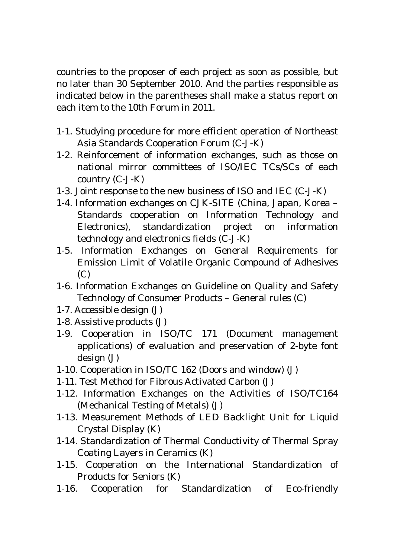countries to the proposer of each project as soon as possible, but no later than 30 September 2010. And the parties responsible as indicated below in the parentheses shall make a status report on each item to the 10th Forum in 2011.

- 1-1. Studying procedure for more efficient operation of Northeast Asia Standards Cooperation Forum (C-J-K)
- 1-2. Reinforcement of information exchanges, such as those on national mirror committees of ISO/IEC TCs/SCs of each country (C-J-K)
- 1-3. Joint response to the new business of ISO and IEC (C-J-K)
- 1-4. Information exchanges on CJK-SITE (China, Japan, Korea Standards cooperation on Information Technology and Electronics), standardization project on information technology and electronics fields (C-J-K)
- 1-5. Information Exchanges on General Requirements for Emission Limit of Volatile Organic Compound of Adhesives (C)
- 1-6. Information Exchanges on Guideline on Quality and Safety Technology of Consumer Products – General rules (C)
- 1-7. Accessible design (J)
- 1-8. Assistive products (J)
- 1-9. Cooperation in ISO/TC 171 (Document management applications) of evaluation and preservation of 2-byte font design (J)
- 1-10. Cooperation in ISO/TC 162 (Doors and window) (J)
- 1-11. Test Method for Fibrous Activated Carbon (J)
- 1-12. Information Exchanges on the Activities of ISO/TC164 (Mechanical Testing of Metals) (J)
- 1-13. Measurement Methods of LED Backlight Unit for Liquid Crystal Display (K)
- 1-14. Standardization of Thermal Conductivity of Thermal Spray Coating Layers in Ceramics (K)
- 1-15. Cooperation on the International Standardization of Products for Seniors (K)
- 1-16. Cooperation for Standardization of Eco-friendly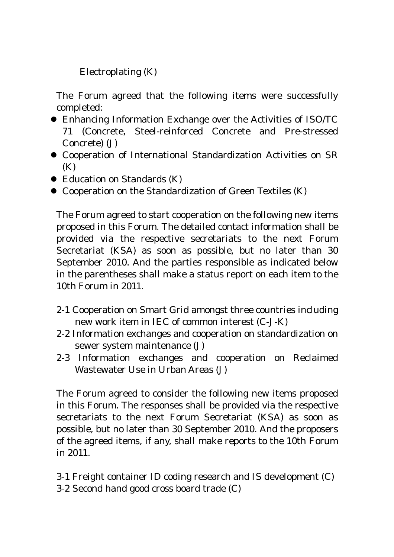Electroplating (K)

The Forum agreed that the following items were successfully completed:

- Enhancing Information Exchange over the Activities of ISO/TC 71 (Concrete, Steel-reinforced Concrete and Pre-stressed Concrete) (J)
- Cooperation of International Standardization Activities on SR (K)
- $\bullet$  Education on Standards (K)
- Cooperation on the Standardization of Green Textiles (K)

The Forum agreed to start cooperation on the following new items proposed in this Forum. The detailed contact information shall be provided via the respective secretariats to the next Forum Secretariat (KSA) as soon as possible, but no later than 30 September 2010. And the parties responsible as indicated below in the parentheses shall make a status report on each item to the 10th Forum in 2011.

- 2-1 Cooperation on Smart Grid amongst three countries including new work item in IEC of common interest (C-J-K)
- 2-2 Information exchanges and cooperation on standardization on sewer system maintenance (J)
- 2-3 Information exchanges and cooperation on Reclaimed Wastewater Use in Urban Areas (J)

The Forum agreed to consider the following new items proposed in this Forum. The responses shall be provided via the respective secretariats to the next Forum Secretariat (KSA) as soon as possible, but no later than 30 September 2010. And the proposers of the agreed items, if any, shall make reports to the 10th Forum in 2011.

3-1 Freight container ID coding research and IS development (C) 3-2 Second hand good cross board trade (C)